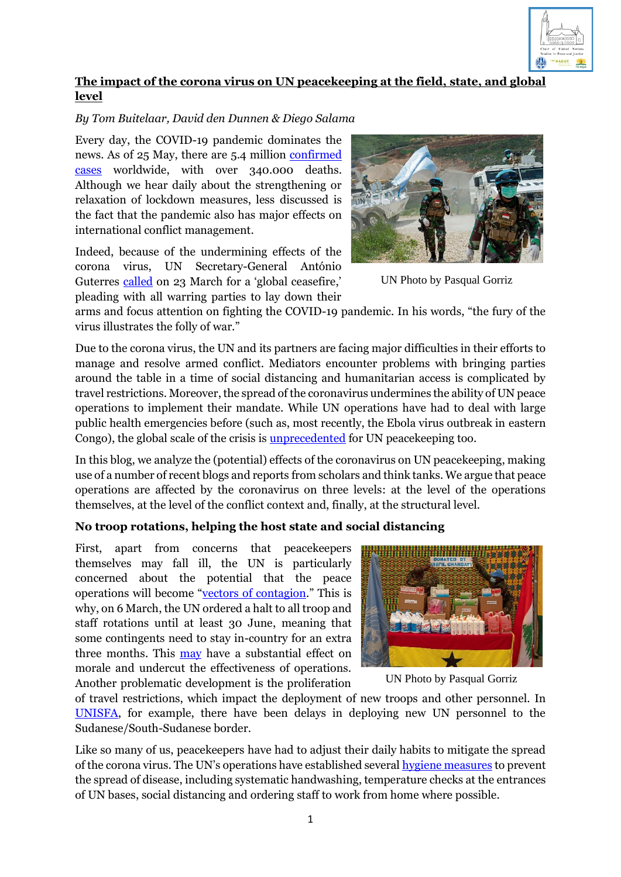

# **The impact of the corona virus on UN peacekeeping at the field, state, and global level**

## *By Tom Buitelaar, David den Dunnen & Diego Salama*

Every day, the COVID-19 pandemic dominates the news. As of 25 May, there are 5.4 million [confirmed](https://www.arcgis.com/apps/opsdashboard/index.html#/bda7594740fd40299423467b48e9ecf6)  [cases](https://www.arcgis.com/apps/opsdashboard/index.html#/bda7594740fd40299423467b48e9ecf6) worldwide, with over 340.000 deaths. Although we hear daily about the strengthening or relaxation of lockdown measures, less discussed is the fact that the pandemic also has major effects on international conflict management.

Indeed, because of the undermining effects of the corona virus, UN Secretary-General António Guterres [called](https://www.youtube.com/watch?v=JH9sZxVlpDo) on 23 March for a 'global ceasefire,' pleading with all warring parties to lay down their



UN Photo by Pasqual Gorriz

arms and focus attention on fighting the COVID-19 pandemic. In his words, "the fury of the virus illustrates the folly of war."

Due to the corona virus, the UN and its partners are facing major difficulties in their efforts to manage and resolve armed conflict. Mediators encounter problems with bringing parties around the table in a time of social distancing and humanitarian access is complicated by travel restrictions. Moreover, the spread of the coronavirus undermines the ability of UN peace operations to implement their mandate. While UN operations have had to deal with large public health emergencies before (such as, most recently, the Ebola virus outbreak in eastern Congo), the global scale of the crisis is [unprecedented](https://theglobalobservatory.org/2020/04/impact-covid-19-peace-operations/) for UN peacekeeping too.

In this blog, we analyze the (potential) effects of the coronavirus on UN peacekeeping, making use of a number of recent blogs and reports from scholars and think tanks. We argue that peace operations are affected by the coronavirus on three levels: at the level of the operations themselves, at the level of the conflict context and, finally, at the structural level.

## **No troop rotations, helping the host state and social distancing**

First, apart from concerns that peacekeepers themselves may fall ill, the UN is particularly concerned about the potential that the peace operations will become "[vectors of contagion](https://www.bangkokpost.com/world/1896415/coronavirus-pandemic-poses-big-challenges-for-un-peacekeeping)." This is why, on 6 March, the UN ordered a halt to all troop and staff rotations until at least 30 June, meaning that some contingents need to stay in-country for an extra three months. This [may](https://d2071andvip0wj.cloudfront.net/B004-covid-19-seven-trends.pdf) have a substantial effect on morale and undercut the effectiveness of operations. Another problematic development is the proliferation



UN Photo by Pasqual Gorriz

of travel restrictions, which impact the deployment of new troops and other personnel. In [UNISFA,](https://peacekeeping.un.org/en/un-news/pandemic-encroaches-abyei-tensions-rise-over-disputed-territory-straddling-sudan-south-sudan) for example, there have been delays in deploying new UN personnel to the Sudanese/South-Sudanese border.

Like so many of us, peacekeepers have had to adjust their daily habits to mitigate the spread of the corona virus. The UN's operations have established several [hygiene measures](https://www.un.org/africarenewal/news/coronavirus/%E2%80%9Cprotect-help-explain%E2%80%9D-un-peacekeeping-responds-covid-19) to prevent the spread of disease, including systematic handwashing, temperature checks at the entrances of UN bases, social distancing and ordering staff to work from home where possible.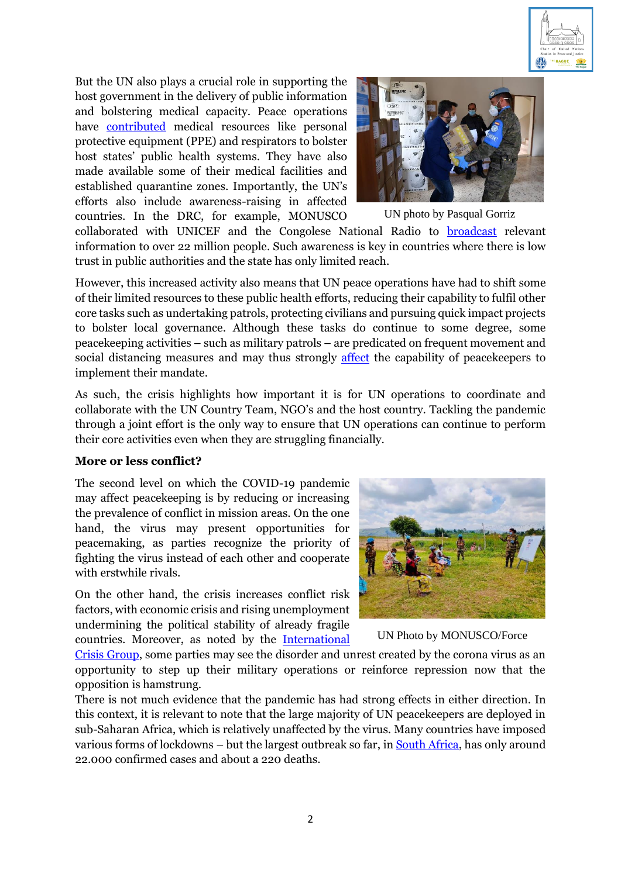

But the UN also plays a crucial role in supporting the host government in the delivery of public information and bolstering medical capacity. Peace operations have **[contributed](https://www.un.org/africarenewal/news/coronavirus/%E2%80%9Cprotect-help-explain%E2%80%9D-un-peacekeeping-responds-covid-19)** medical resources like personal protective equipment (PPE) and respirators to bolster host states' public health systems. They have also made available some of their medical facilities and established quarantine zones. Importantly, the UN's efforts also include awareness-raising in affected countries. In the DRC, for example, MONUSCO



UN photo by Pasqual Gorriz

collaborated with UNICEF and the Congolese National Radio to [broadcast](https://www.un.org/en/coronavirus/un-peacekeeping-radio-wears-multiple-hats-fight-against-covid-19?fbclid=IwAR0tWaEfyiYeV74Y8Ap7sFyvDQF0vT9u7LE7tbnzRWttAJ24UmNTsVF5KXo) relevant information to over 22 million people. Such awareness is key in countries where there is low trust in public authorities and the state has only limited reach.

However, this increased activity also means that UN peace operations have had to shift some of their limited resources to these public health efforts, reducing their capability to fulfil other core tasks such as undertaking patrols, protecting civilians and pursuing quick impact projects to bolster local governance. Although these tasks do continue to some degree, some peacekeeping activities – such as military patrols – are predicated on frequent movement and social distancing measures and may thus strongly [affect](https://theglobalobservatory.org/2020/04/impact-covid-19-peace-operations/) the capability of peacekeepers to implement their mandate.

As such, the crisis highlights how important it is for UN operations to coordinate and collaborate with the UN Country Team, NGO's and the host country. Tackling the pandemic through a joint effort is the only way to ensure that UN operations can continue to perform their core activities even when they are struggling financially.

#### **More or less conflict?**

The second level on which the COVID-19 pandemic may affect peacekeeping is by reducing or increasing the prevalence of conflict in mission areas. On the one hand, the virus may present opportunities for peacemaking, as parties recognize the priority of fighting the virus instead of each other and cooperate with erstwhile rivals.

On the other hand, the crisis increases conflict risk factors, with economic crisis and rising unemployment undermining the political stability of already fragile countries. Moreover, as noted by the [International](https://d2071andvip0wj.cloudfront.net/B004-covid-19-seven-trends.pdf) 



UN Photo by MONUSCO/Force

[Crisis Group,](https://d2071andvip0wj.cloudfront.net/B004-covid-19-seven-trends.pdf) some parties may see the disorder and unrest created by the corona virus as an opportunity to step up their military operations or reinforce repression now that the opposition is hamstrung.

There is not much evidence that the pandemic has had strong effects in either direction. In this context, it is relevant to note that the large majority of UN peacekeepers are deployed in sub-Saharan Africa, which is relatively unaffected by the virus. Many countries have imposed various forms of lockdowns – but the largest outbreak so far, i[n South Africa,](https://www.arcgis.com/apps/opsdashboard/index.html#/bda7594740fd40299423467b48e9ecf6) has only around 22.000 confirmed cases and about a 220 deaths.